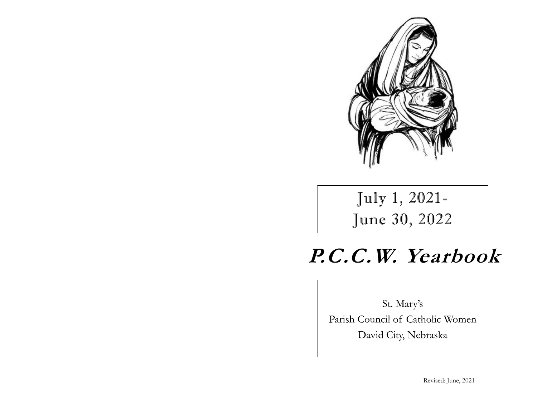

July 1, 2021- June 30, 2022

# **P.C.C.W. Yearbook**

St. Mary's Parish Council of Catholic Women David City, Nebraska

Revised: June, 2021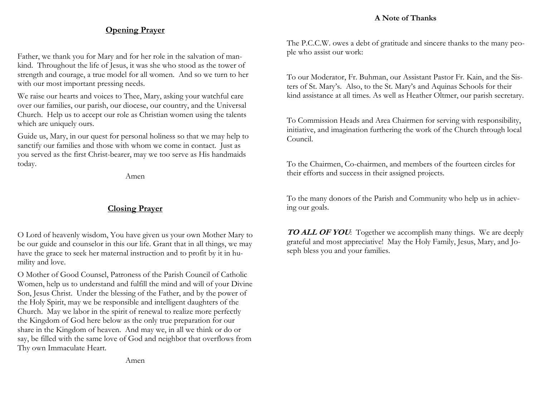### **A Note of Thanks**

### **Opening Prayer**

Father, we thank you for Mary and for her role in the salvation of mankind. Throughout the life of Jesus, it was she who stood as the tower of strength and courage, a true model for all women. And so we turn to her with our most important pressing needs.

We raise our hearts and voices to Thee, Mary, asking your watchful care over our families, our parish, our diocese, our country, and the Universal Church. Help us to accept our role as Christian women using the talents which are uniquely ours.

Guide us, Mary, in our quest for personal holiness so that we may help to sanctify our families and those with whom we come in contact. Just as you served as the first Christ-bearer, may we too serve as His handmaids today.

Amen

### **Closing Prayer**

O Lord of heavenly wisdom, You have given us your own Mother Mary to be our guide and counselor in this our life. Grant that in all things, we may have the grace to seek her maternal instruction and to profit by it in humility and love.

O Mother of Good Counsel, Patroness of the Parish Council of Catholic Women, help us to understand and fulfill the mind and will of your Divine Son, Jesus Christ. Under the blessing of the Father, and by the power of the Holy Spirit, may we be responsible and intelligent daughters of the Church. May we labor in the spirit of renewal to realize more perfectly the Kingdom of God here below as the only true preparation for our share in the Kingdom of heaven. And may we, in all we think or do or say, be filled with the same love of God and neighbor that overflows from Thy own Immaculate Heart.

The P.C.C.W. owes a debt of gratitude and sincere thanks to the many people who assist our work:

To our Moderator, Fr. Buhman, our Assistant Pastor Fr. Kain, and the Sisters of St. Mary's. Also, to the St. Mary's and Aquinas Schools for their kind assistance at all times. As well as Heather Oltmer, our parish secretary.

To Commission Heads and Area Chairmen for serving with responsibility, initiative, and imagination furthering the work of the Church through local Council.

To the Chairmen, Co-chairmen, and members of the fourteen circles for their efforts and success in their assigned projects.

To the many donors of the Parish and Community who help us in achieving our goals.

**TO ALL OF YOU**: Together we accomplish many things. We are deeply grateful and most appreciative! May the Holy Family, Jesus, Mary, and Joseph bless you and your families.

Amen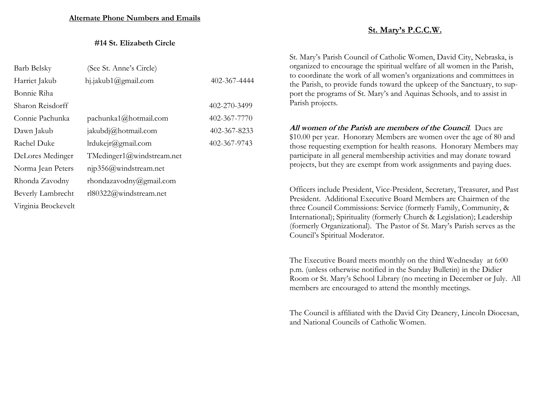### **#14 St. Elizabeth Circle**

| <b>Barb Belsky</b>  | (See St. Anne's Circle)                |              |
|---------------------|----------------------------------------|--------------|
| Harriet Jakub       | hj.jakub1@gmail.com                    | 402-367-4444 |
| Bonnie Riha         |                                        |              |
| Sharon Reisdorff    |                                        | 402-270-3499 |
| Connie Pachunka     | $\text{pachunka1}(\alpha)$ hotmail.com | 402-367-7770 |
| Dawn Jakub          | jakubdj $@$ hotmail.com                | 402-367-8233 |
| Rachel Duke         | lrdukejr@gmail.com                     | 402-367-9743 |
| DeLores Medinger    | TMedinger1@windstream.net              |              |
| Norma Jean Peters   | njp356@windstream.net                  |              |
| Rhonda Zavodny      | rhondazavodny@gmail.com                |              |
| Beverly Lambrecht   | $r180322$ @windstream.net              |              |
| Virginia Brockevelt |                                        |              |

### **St. Mary's P.C.C.W.**

St. Mary's Parish Council of Catholic Women, David City, Nebraska, is organized to encourage the spiritual welfare of all women in the Parish, to coordinate the work of all women's organizations and committees in the Parish, to provide funds toward the upkeep of the Sanctuary, to support the programs of St. Mary's and Aquinas Schools, and to assist in Parish projects.

All women of the Parish are members of the Council. Dues are \$10.00 per year. Honorary Members are women over the age of 80 and those requesting exemption for health reasons. Honorary Members may participate in all general membership activities and may donate toward projects, but they are exempt from work assignments and paying dues.

Officers include President, Vice-President, Secretary, Treasurer, and Past President. Additional Executive Board Members are Chairmen of the three Council Commissions: Service (formerly Family, Community, & International); Spirituality (formerly Church & Legislation); Leadership (formerly Organizational). The Pastor of St. Mary's Parish serves as the Council's Spiritual Moderator.

The Executive Board meets monthly on the third Wednesday at 6:00 p.m. (unless otherwise notified in the Sunday Bulletin) in the Didier Room or St. Mary's School Library (no meeting in December or July. All members are encouraged to attend the monthly meetings.

The Council is affiliated with the David City Deanery, Lincoln Diocesan, and National Councils of Catholic Women.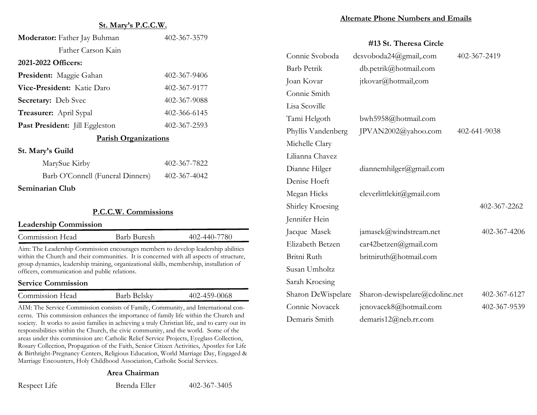### **St. Mary's P.C.C.W.**

| <b>Moderator:</b> Father Jay Buhman | 402-367-3579 |
|-------------------------------------|--------------|
| Father Carson Kain                  |              |

# **2021-2022 Officers:**

| President: Maggie Gahan        | 402-367-9406 |
|--------------------------------|--------------|
| Vice-President: Katie Daro     | 402-367-9177 |
| <b>Secretary:</b> Deb Svec     | 402-367-9088 |
| <b>Treasurer:</b> April Sypal  | 402-366-6145 |
| Past President: Jill Eggleston | 402-367-2593 |

### **Parish Organizations**

### **St. Mary's Guild**

| MarySue Kirby                    | 402-367-7822 |
|----------------------------------|--------------|
| Barb O'Connell (Funeral Dinners) | 402-367-4042 |
|                                  |              |

### **Seminarian Club**

### **P.C.C.W. Commissions**

# **Leadership Commission** Commission Head Barb Buresh 402-440-7780

Aim: The Leadership Commission encourages members to develop leadership abilities within the Church and their communities. It is concerned with all aspects of structure, group dynamics, leadership training, organizational skills, membership, installation of officers, communication and public relations.

### **Service Commission**

| Commission Head | Barb Belsky | 402-459-0068 |
|-----------------|-------------|--------------|
|                 |             |              |

AIM: The Service Commission consists of Family, Community, and International concerns. This commission enhances the importance of family life within the Church and society. It works to assist families in achieving a truly Christian life, and to carry out its responsibilities within the Church, the civic community, and the world. Some of the areas under this commission are: Catholic Relief Service Projects, Eyeglass Collection, Rosary Collection, Propagation of the Faith, Senior Citizen Activities, Apostles for Life & Birthright-Pregnancy Centers, Religious Education, World Marriage Day, Engaged & Marriage Encounters, Holy Childhood Association, Catholic Social Services.

### **Area Chairman**

Respect Life Brenda Eller 402-367-3405

### **Alternate Phone Numbers and Emails**

**#13 St. Theresa Circle**

| Connie Svoboda          | dcsvoboda24@gmail,.com         | 402-367-2419 |
|-------------------------|--------------------------------|--------------|
| Barb Petrik             | db.petrik@hotmail.com          |              |
| Joan Kovar              | jtkovar@hotmail,com            |              |
| Connie Smith            |                                |              |
| Lisa Scoville           |                                |              |
| Tami Helgoth            | bwh5958@hotmail.com            |              |
| Phyllis Vandenberg      | JPVAN2002@yahoo.com            | 402-641-9038 |
| Michelle Clary          |                                |              |
| Lilianna Chavez         |                                |              |
| Dianne Hilger           | diannemhilger@gmail.com        |              |
| Denise Hoeft            |                                |              |
| Megan Hicks             | cleverlittlekit@gmail.com      |              |
| <b>Shirley Kroesing</b> |                                | 402-367-2262 |
| Jennifer Hein           |                                |              |
| Jacque Masek            | jamasek@windstream.net         | 402-367-4206 |
| Elizabeth Betzen        | car42betzen@gmail.com          |              |
| Britni Ruth             | britniruth@hotmail.com         |              |
| Susan Umholtz           |                                |              |
| Sarah Kroesing          |                                |              |
| Sharon DeWispelare      | Sharon-dewispelare@cdolinc.net | 402-367-6127 |
| Connie Novacek          | jcnovacek8@hotmail.com         | 402-367-9539 |
| Demaris Smith           | demaris12@neb.rr.com           |              |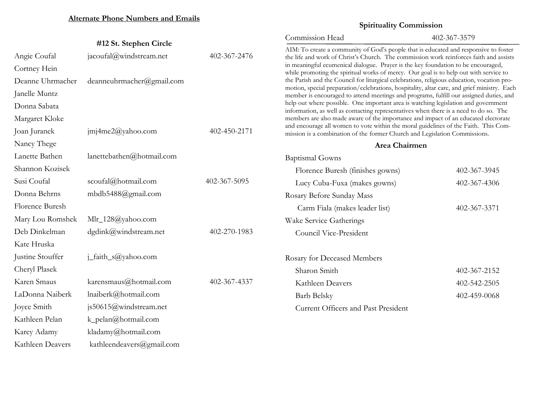# **Alternate Phone Numbers and Emails**

# **Spirituality Commission**

|                              | #12 St. Stephen Circle          |              | Commission Head                                                                                                                                                                                                                                                                                                                                              | 402-367-3579 |  |
|------------------------------|---------------------------------|--------------|--------------------------------------------------------------------------------------------------------------------------------------------------------------------------------------------------------------------------------------------------------------------------------------------------------------------------------------------------------------|--------------|--|
| Angie Coufal<br>Cortney Hein | jacoufal@windstream.net         | 402-367-2476 | AIM: To create a community of God's people that is educated and responsive to foster<br>the life and work of Christ's Church. The commission work reinforces faith and assists<br>in meaningful ecumenical dialogue. Prayer is the key foundation to be encouraged,<br>while promoting the spiritual works of mercy. Our goal is to help out with service to |              |  |
| Deanne Uhrmacher             | deanneuhrmacher@gmail.com       |              | the Parish and the Council for liturgical celebrations, religious education, vocation pro-<br>motion, special preparation/celebrations, hospitality, altar care, and grief ministry. Each                                                                                                                                                                    |              |  |
| Janelle Muntz                |                                 |              | member is encouraged to attend meetings and programs, fulfill our assigned duties, and<br>help out where possible. One important area is watching legislation and government                                                                                                                                                                                 |              |  |
| Donna Sabata                 |                                 |              | information, as well as contacting representatives when there is a need to do so. The                                                                                                                                                                                                                                                                        |              |  |
| Margaret Kloke               |                                 |              | members are also made aware of the importance and impact of an educated electorate<br>and encourage all women to vote within the moral guidelines of the Faith. This Com-                                                                                                                                                                                    |              |  |
| Joan Juranek                 | $jm$ <sup>4</sup> me2@yahoo.com | 402-450-2171 | mission is a combination of the former Church and Legislation Commissions.                                                                                                                                                                                                                                                                                   |              |  |
| Nancy Thege                  |                                 |              | Area Chairmen                                                                                                                                                                                                                                                                                                                                                |              |  |
| Lanette Bathen               | lanettebathen@hotmail.com       |              | <b>Baptismal Gowns</b>                                                                                                                                                                                                                                                                                                                                       |              |  |
| Shannon Kozisek              |                                 |              | Florence Buresh (finishes gowns)                                                                                                                                                                                                                                                                                                                             | 402-367-3945 |  |
| Susi Coufal                  | scoufal@hotmail.com             | 402-367-5095 | Lucy Cuba-Fuxa (makes gowns)                                                                                                                                                                                                                                                                                                                                 | 402-367-4306 |  |
| Donna Behrns                 | mbdb5488@gmail.com              |              | Rosary Before Sunday Mass                                                                                                                                                                                                                                                                                                                                    |              |  |
| Florence Buresh              |                                 |              | Carm Fiala (makes leader list)                                                                                                                                                                                                                                                                                                                               | 402-367-3371 |  |
| Mary Lou Romshek             | Mlr_128@yahoo.com               |              | Wake Service Gatherings                                                                                                                                                                                                                                                                                                                                      |              |  |
| Deb Dinkelman                | dgdink@windstream.net           | 402-270-1983 | Council Vice-President                                                                                                                                                                                                                                                                                                                                       |              |  |
| Kate Hruska                  |                                 |              |                                                                                                                                                                                                                                                                                                                                                              |              |  |
| Justine Stouffer             | $i$ _faith_s@yahoo.com          |              | Rosary for Deceased Members                                                                                                                                                                                                                                                                                                                                  |              |  |
| Cheryl Plasek                |                                 |              | Sharon Smith                                                                                                                                                                                                                                                                                                                                                 | 402-367-2152 |  |
| Karen Smaus                  | karensmaus@hotmail.com          | 402-367-4337 | Kathleen Deavers                                                                                                                                                                                                                                                                                                                                             | 402-542-2505 |  |
| LaDonna Naiberk              | lnaiberk@hotmail.com            |              | <b>Barb Belsky</b>                                                                                                                                                                                                                                                                                                                                           | 402-459-0068 |  |
| Joyce Smith                  | $is 50615$ @windstream.net      |              | <b>Current Officers and Past President</b>                                                                                                                                                                                                                                                                                                                   |              |  |
| Kathleen Pelan               | k_pelan@hotmail.com             |              |                                                                                                                                                                                                                                                                                                                                                              |              |  |
| Karey Adamy                  | kladamy@hotmail.com             |              |                                                                                                                                                                                                                                                                                                                                                              |              |  |
| Kathleen Deavers             | kathleendeavers@gmail.com       |              |                                                                                                                                                                                                                                                                                                                                                              |              |  |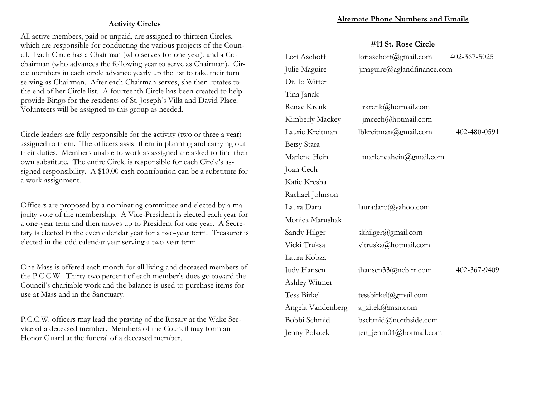### **Activity Circles**

All active members, paid or unpaid, are assigned to thirteen Circles, which are responsible for conducting the various projects of the Council. Each Circle has a Chairman (who serves for one year), and a Cochairman (who advances the following year to serve as Chairman). Circle members in each circle advance yearly up the list to take their turn serving as Chairman. After each Chairman serves, she then rotates to the end of her Circle list. A fourteenth Circle has been created to help provide Bingo for the residents of St. Joseph's Villa and David Place. Volunteers will be assigned to this group as needed.

Circle leaders are fully responsible for the activity (two or three a year) assigned to them. The officers assist them in planning and carrying out their duties. Members unable to work as assigned are asked to find their own substitute. The entire Circle is responsible for each Circle's assigned responsibility. A \$10.00 cash contribution can be a substitute for a work assignment.

Officers are proposed by a nominating committee and elected by a majority vote of the membership. A Vice-President is elected each year for a one-year term and then moves up to President for one year. A Secretary is elected in the even calendar year for a two-year term. Treasurer is elected in the odd calendar year serving a two-year term.

One Mass is offered each month for all living and deceased members of the P.C.C.W. Thirty-two percent of each member's dues go toward the Council's charitable work and the balance is used to purchase items for use at Mass and in the Sanctuary.

P.C.C.W. officers may lead the praying of the Rosary at the Wake Service of a deceased member. Members of the Council may form an Honor Guard at the funeral of a deceased member.

### **Alternate Phone Numbers and Emails**

**#11 St. Rose Circle**

| Lori Aschoff      | loriaschoff@gmail.com      | 402-367-5025 |
|-------------------|----------------------------|--------------|
| Julie Maguire     | jmaguire@aglandfinance.com |              |
| Dr. Jo Witter     |                            |              |
| Tina Janak        |                            |              |
| Renae Krenk       | rkrenk@hotmail.com         |              |
| Kimberly Mackey   | jmcech@hotmail.com         |              |
| Laurie Kreitman   | lbkreitman@gmail.com       | 402-480-0591 |
| Betsy Stara       |                            |              |
| Marlene Hein      | marleneahein@gmail.com     |              |
| Joan Cech         |                            |              |
| Katie Kresha      |                            |              |
| Rachael Johnson   |                            |              |
| Laura Daro        | lauradaro@yahoo.com        |              |
| Monica Marushak   |                            |              |
| Sandy Hilger      | skhilger@gmail.com         |              |
| Vicki Truksa      | vltruska@hotmail.com       |              |
| Laura Kobza       |                            |              |
| Judy Hansen       | jhansen33@neb.rr.com       | 402-367-9409 |
| Ashley Witmer     |                            |              |
| Tess Birkel       | tessbirkel@gmail.com       |              |
| Angela Vandenberg | a_zitek@msn.com            |              |
| Bobbi Schmid      | bschmid@northside.com      |              |
| Jenny Polacek     | jen_jenm04@hotmail.com     |              |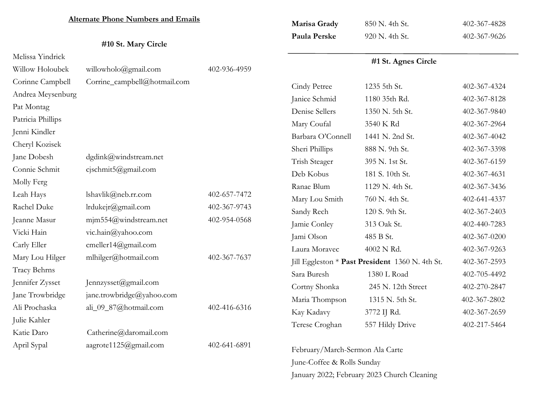### **Alternate Phone Numbers and Emails**

**#10 St. Mary Circle**

| Melissa Yindrick    |                              |              |                                 | #1 St. Agnes Circle                             |              |
|---------------------|------------------------------|--------------|---------------------------------|-------------------------------------------------|--------------|
| Willow Holoubek     | willowholo@gmail.com         | 402-936-4959 |                                 |                                                 |              |
| Corinne Campbell    | Corrine_campbell@hotmail.com |              | Cindy Petree                    | 1235 5th St.                                    | 402-367-4324 |
| Andrea Meysenburg   |                              |              | Janice Schmid                   | 1180 35th Rd.                                   | 402-367-8128 |
| Pat Montag          |                              |              | Denise Sellers                  | 1350 N. 5th St.                                 | 402-367-9840 |
| Patricia Phillips   |                              |              | Mary Coufal                     | 3540 K Rd                                       | 402-367-2964 |
| Jenni Kindler       |                              |              | Barbara O'Connell               | 1441 N. 2nd St.                                 | 402-367-4042 |
| Cheryl Kozisek      |                              |              | Sheri Phillips                  | 888 N. 9th St.                                  | 402-367-3398 |
| Jane Dobesh         | dgdink@windstream.net        |              | Trish Steager                   | 395 N. 1st St.                                  | 402-367-6159 |
| Connie Schmit       | cjschmit5@gmail.com          |              | Deb Kobus                       | 181 S. 10th St.                                 | 402-367-4631 |
| Molly Ferg          |                              |              | Ranae Blum                      | 1129 N. 4th St.                                 | 402-367-3436 |
| Leah Hays           | lshavlik@neb.rr.com          | 402-657-7472 | Mary Lou Smith                  | 760 N. 4th St.                                  | 402-641-4337 |
| Rachel Duke         | lrdukejr@gmail.com           | 402-367-9743 | Sandy Rech                      | 120 S. 9th St.                                  | 402-367-2403 |
| Jeanne Masur        | mjm554@windstream.net        | 402-954-0568 | Jamie Conley                    | 313 Oak St.                                     | 402-440-7283 |
| Vicki Hain          | vic.hain@yahoo.com           |              | Jami Olson                      | 485 B St.                                       | 402-367-0200 |
| Carly Eller         | cmeller14@gmail.com          |              | Laura Moravec                   | 4002 N Rd.                                      | 402-367-9263 |
| Mary Lou Hilger     | mlhilger@hotmail.com         | 402-367-7637 |                                 | Jill Eggleston * Past President 1360 N. 4th St. | 402-367-2593 |
| <b>Tracy Behrns</b> |                              |              | Sara Buresh                     | 1380 L Road                                     | 402-705-4492 |
| Jennifer Zysset     | Jennzysset@gmail.com         |              | Cortny Shonka                   | 245 N. 12th Street                              | 402-270-2847 |
| Jane Trowbridge     | jane.trowbridge@yahoo.com    |              | Maria Thompson                  | 1315 N. 5th St.                                 | 402-367-2802 |
| Ali Prochaska       | ali_09_87@hotmail.com        | 402-416-6316 | Kay Kadavy                      | 3772 IJ Rd.                                     | 402-367-2659 |
| Julie Kahler        |                              |              | Terese Croghan                  | 557 Hildy Drive                                 | 402-217-5464 |
| Katie Daro          | Catherine@daromail.com       |              |                                 |                                                 |              |
| April Sypal         | aagrote1125@gmail.com        | 402-641-6891 | February/March-Sermon Ala Carte |                                                 |              |

**Marisa Grady** 850 N. 4th St. 402-367-4828 **Paula Perske** 920 N. 4th St. 402-367-9626 **#1 St. Agnes Circle** 1235 5th St. 402-367-4324 1180 35th Rd. 402-367-8128 1350 N. 5th St. 402-367-9840 3540 K Rd 402-367-2964 1441 N. 2nd St. 402-367-4042 888 N. 9th St. 402-367-3398 395 N. 1st St. 402-367-6159 181 S. 10th St. 402-367-4631 1129 N. 4th St. 402-367-3436 760 N. 4th St. 402-641-4337 120 S. 9th St. 402-367-2403 313 Oak St. 402-440-7283 485 B St. 402-367-0200

June-Coffee & Rolls Sunday

January 2022; February 2023 Church Cleaning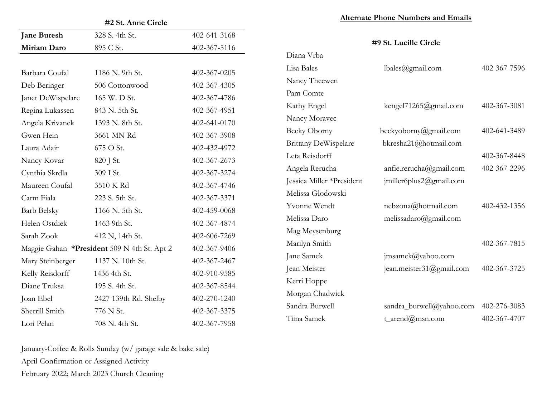| #2 St. Anne Circle                                   |                                             |              |  |  |  |
|------------------------------------------------------|---------------------------------------------|--------------|--|--|--|
| <b>Jane Buresh</b><br>328 S. 4th St.<br>402-641-3168 |                                             |              |  |  |  |
| Miriam Daro                                          | 895 C St.                                   | 402-367-5116 |  |  |  |
|                                                      |                                             |              |  |  |  |
| Barbara Coufal                                       | 1186 N. 9th St.                             | 402-367-0205 |  |  |  |
| Deb Beringer                                         | 506 Cottonwood                              | 402-367-4305 |  |  |  |
| Janet DeWispelare                                    | 165 W. D St.                                | 402-367-4786 |  |  |  |
| Regina Lukassen                                      | 843 N. 5th St.                              | 402-367-4951 |  |  |  |
| Angela Krivanek                                      | 1393 N. 8th St.                             | 402-641-0170 |  |  |  |
| Gwen Hein                                            | 3661 MN Rd                                  | 402-367-3908 |  |  |  |
| Laura Adair                                          | 675 O St.                                   | 402-432-4972 |  |  |  |
| Nancy Kovar                                          | 820 J St.                                   | 402-367-2673 |  |  |  |
| Cynthia Skrdla                                       | 309 I St.                                   | 402-367-3274 |  |  |  |
| Maureen Coufal                                       | 3510 K Rd                                   | 402-367-4746 |  |  |  |
| Carm Fiala                                           | 223 S. 5th St.                              | 402-367-3371 |  |  |  |
| <b>Barb Belsky</b>                                   | 1166 N. 5th St.                             | 402-459-0068 |  |  |  |
| Helen Ostdiek                                        | 1463 9th St.                                | 402-367-4874 |  |  |  |
| Sarah Zook                                           | 412 N, 14th St.                             | 402-606-7269 |  |  |  |
|                                                      | Maggie Gahan *President 509 N 4th St. Apt 2 | 402-367-9406 |  |  |  |
| Mary Steinberger                                     | 1137 N. 10th St.                            | 402-367-2467 |  |  |  |
| Kelly Reisdorff                                      | 1436 4th St.                                | 402-910-9585 |  |  |  |
| Diane Truksa                                         | 195 S. 4th St.                              | 402-367-8544 |  |  |  |
| Joan Ebel                                            | 2427 139th Rd. Shelby                       | 402-270-1240 |  |  |  |
| Sherrill Smith                                       | 776 N St.                                   | 402-367-3375 |  |  |  |
| Lori Pelan                                           | 708 N. 4th St.                              | 402-367-7958 |  |  |  |

January-Coffee & Rolls Sunday (w/ garage sale & bake sale) April-Confirmation or Assigned Activity February 2022; March 2023 Church Cleaning

# **Alternate Phone Numbers and Emails**

**#9 St. Lucille Circle**

| Diana Vrba                  |                          |              |
|-----------------------------|--------------------------|--------------|
| Lisa Bales                  | lbales@gmail.com         | 402-367-7596 |
| Nancy Theewen               |                          |              |
| Pam Comte                   |                          |              |
| Kathy Engel                 | kengel71265@gmail.com    | 402-367-3081 |
| Nancy Moravec               |                          |              |
| Becky Oborny                | beckyoborny@gmail.com    | 402-641-3489 |
| <b>Brittany DeWispelare</b> | bkresha21@hotmail.com    |              |
| Leta Reisdorff              |                          | 402-367-8448 |
| Angela Rerucha              | anfie.rerucha@gmail.com  | 402-367-2296 |
| Jessica Miller *President   | jmiller6plus2@gmail.com  |              |
| Melissa Glodowski           |                          |              |
| Yvonne Wendt                | nebzona@hotmail.com      | 402-432-1356 |
| Melissa Daro                | melissadaro@gmail.com    |              |
| Mag Meysenburg              |                          |              |
| Marilyn Smith               |                          | 402-367-7815 |
| Jane Samek                  | jmsamek@yahoo.com        |              |
| Jean Meister                | jean.meister31@gmail.com | 402-367-3725 |
| Kerri Hoppe                 |                          |              |
| Morgan Chadwick             |                          |              |
| Sandra Burwell              | sandra_burwell@yahoo.com | 402-276-3083 |
| Tiina Samek                 | t_arend@msn.com          | 402-367-4707 |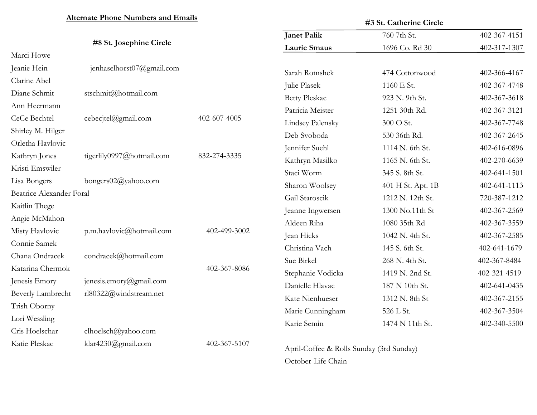# **Alternate Phone Numbers and Emails**

| <u>Alternate Phone Numbers and Emails</u> |                           | #3 St. Catherine Circle |                                   |                   |              |
|-------------------------------------------|---------------------------|-------------------------|-----------------------------------|-------------------|--------------|
|                                           |                           |                         | <b>Janet Palik</b>                | 760 7th St.       | 402-367-4151 |
|                                           | #8 St. Josephine Circle   |                         | Laurie Smaus                      | 1696 Co. Rd 30    | 402-317-1307 |
| Marci Howe                                |                           |                         |                                   |                   |              |
| Jeanie Hein                               | jenhaselhorst07@gmail.com |                         | Sarah Romshek                     | 474 Cottonwood    | 402-366-4167 |
| Clarine Abel                              |                           |                         | Julie Plasek                      | 1160 E St.        | 402-367-4748 |
| Diane Schmit                              | stschmit@hotmail.com      |                         | <b>Betty Pleskac</b>              | 923 N. 9th St.    | 402-367-3618 |
| Ann Heermann                              |                           |                         | Patricia Meister                  | 1251 30th Rd.     | 402-367-3121 |
| CeCe Bechtel                              | cebecjtel@gmail.com       | 402-607-4005            | Lindsey Palensky                  | 300 O St.         | 402-367-7748 |
| Shirley M. Hilger                         |                           |                         | Deb Svoboda                       | 530 36th Rd.      | 402-367-2645 |
| Orletha Havlovic                          |                           |                         | Jennifer Suehl                    | 1114 N. 6th St.   | 402-616-0896 |
| Kathryn Jones                             | tigerlily0997@hotmail.com | 832-274-3335            | Kathryn Masilko                   | 1165 N. 6th St.   | 402-270-6639 |
| Kristi Emswiler                           |                           |                         | Staci Worm                        | 345 S. 8th St.    | 402-641-1501 |
| Lisa Bongers                              | bongers02@yahoo.com       |                         | Sharon Woolsey                    | 401 H St. Apt. 1B | 402-641-1113 |
| <b>Beatrice Alexander Foral</b>           |                           |                         | Gail Staroscik                    | 1212 N. 12th St.  | 720-387-1212 |
| Kaitlin Thege                             |                           |                         | Jeanne Ingwersen                  | 1300 No.11th St   | 402-367-2569 |
| Angie McMahon                             |                           |                         | Aldeen Riha                       | 1080 35th Rd      | 402-367-3559 |
| Misty Havlovic                            | p.m.havlovic@hotmail.com  | 402-499-3002            | Jean Hicks                        | 1042 N. 4th St.   | 402-367-2585 |
| Connie Samek                              |                           |                         | Christina Vach                    | 145 S. 6th St.    | 402-641-1679 |
| Chana Ondracek                            | condracek@hotmail.com     |                         | Sue Birkel                        | 268 N. 4th St.    | 402-367-8484 |
| Katarina Chermok                          |                           | 402-367-8086            | Stephanie Vodicka                 | 1419 N. 2nd St.   | 402-321-4519 |
| Jenesis Emory                             | jenesis.emory@gmail.com   |                         | Danielle Hlavac                   | 187 N 10th St.    | 402-641-0435 |
| <b>Beverly Lambrecht</b>                  | rl80322@windstream.net    |                         | Kate Nienhueser                   | 1312 N. 8th St    | 402-367-2155 |
| Trish Oborny                              |                           |                         | Marie Cunningham                  | 526 L St.         | 402-367-3504 |
| Lori Wessling                             |                           |                         | Karie Semin                       | 1474 N 11th St.   | 402-340-5500 |
| Cris Hoelschar                            | clhoelsch@yahoo.com       |                         |                                   |                   |              |
| Katie Pleskac                             | klar4230@gmail.com        | 402-367-5107            | $A = 1$ $C = 66 = 9$ $D = 11 = 0$ |                   |              |

April-Coffee & Rolls Sunday (3rd Sunday) October-Life Chain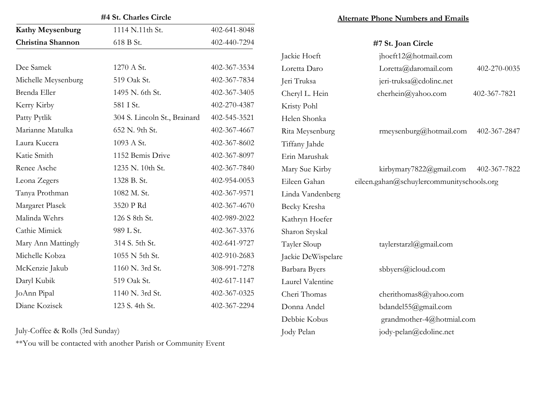| #4 St. Charles Circle    |                              |              | <b>Alternate Phone Numbers and Emails</b> |                                           |              |
|--------------------------|------------------------------|--------------|-------------------------------------------|-------------------------------------------|--------------|
| Kathy Meysenburg         | 1114 N.11th St.              | 402-641-8048 |                                           |                                           |              |
| <b>Christina Shannon</b> | 618 B St.                    | 402-440-7294 |                                           | #7 St. Joan Circle                        |              |
|                          |                              |              | Jackie Hoeft                              | jhoeft12@hotmail.com                      |              |
| Dee Samek                | 1270 A St.                   | 402-367-3534 | Loretta Daro                              | Loretta@daromail.com                      | 402-270-0035 |
| Michelle Meysenburg      | 519 Oak St.                  | 402-367-7834 | Jeri Truksa                               | jeri-truksa@cdolinc.net                   |              |
| Brenda Eller             | 1495 N. 6th St.              | 402-367-3405 | Cheryl L. Hein                            | cherhein@yahoo.com                        | 402-367-7821 |
| Kerry Kirby              | 581 I St.                    | 402-270-4387 | Kristy Pohl                               |                                           |              |
| Patty Pytlik             | 304 S. Lincoln St., Brainard | 402-545-3521 | Helen Shonka                              |                                           |              |
| Marianne Matulka         | 652 N. 9th St.               | 402-367-4667 | Rita Meysenburg                           | rmeysenburg@hotmail.com                   | 402-367-2847 |
| Laura Kucera             | 1093 A St.                   | 402-367-8602 | Tiffany Jahde                             |                                           |              |
| Katie Smith              | 1152 Bemis Drive             | 402-367-8097 | Erin Marushak                             |                                           |              |
| Renee Asche              | 1235 N. 10th St.             | 402-367-7840 | Mary Sue Kirby                            | kirbymary7822@gmail.com                   | 402-367-7822 |
| Leona Zegers             | 1328 B. St.                  | 402-954-0053 | Eileen Gahan                              | eileen.gahan@schuylercommunityschools.org |              |
| Tanya Prothman           | 1082 M. St.                  | 402-367-9571 | Linda Vandenberg                          |                                           |              |
| Margaret Plasek          | 3520 P Rd                    | 402-367-4670 | Becky Kresha                              |                                           |              |
| Malinda Wehrs            | 126 S 8th St.                | 402-989-2022 | Kathryn Hoefer                            |                                           |              |
| Cathie Mimick            | 989 L St.                    | 402-367-3376 | Sharon Styskal                            |                                           |              |
| Mary Ann Mattingly       | 314 S. 5th St.               | 402-641-9727 | Tayler Sloup                              | taylerstarzl@gmail.com                    |              |
| Michelle Kobza           | 1055 N 5th St.               | 402-910-2683 | Jackie DeWispelare                        |                                           |              |
| McKenzie Jakub           | 1160 N. 3rd St.              | 308-991-7278 | Barbara Byers                             | sbbyers@icloud.com                        |              |
| Daryl Kubik              | 519 Oak St.                  | 402-617-1147 | Laurel Valentine                          |                                           |              |
| JoAnn Pipal              | 1140 N. 3rd St.              | 402-367-0325 | Cheri Thomas                              | cherithomas8@yahoo.com                    |              |
| Diane Kozisek            | 123 S. 4th St.               | 402-367-2294 | Donna Andel                               | bdandel55@gmail.com                       |              |
|                          |                              |              | Debbie Kobus                              | grandmother-4@hotmial.com                 |              |

Jody Pelan jody-pelan@cdolinc.net

July-Coffee & Rolls (3rd Sunday)

\*\*You will be contacted with another Parish or Community Event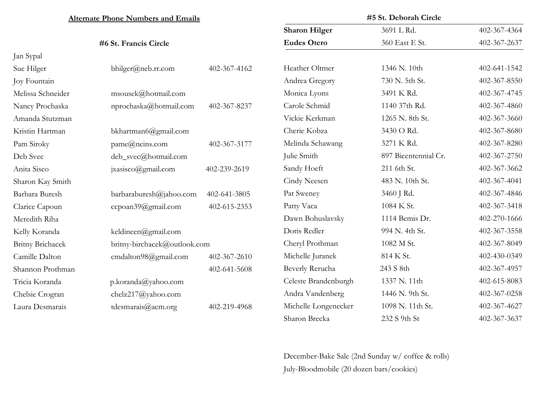| <b>Alternate Phone Numbers and Emails</b> |                              | #5 St. Deborah Circle |                      |                      |              |
|-------------------------------------------|------------------------------|-----------------------|----------------------|----------------------|--------------|
|                                           |                              |                       | <b>Sharon Hilger</b> | 3691 L Rd.           | 402-367-4364 |
|                                           | #6 St. Francis Circle        |                       | <b>Eudes Otero</b>   | 360 East E St.       | 402-367-2637 |
| Jan Sypal                                 |                              |                       |                      |                      |              |
| Sue Hilger                                | bhilger@neb.rr.com           | 402-367-4162          | Heather Oltmer       | 1346 N. 10th         | 402-641-1542 |
| Joy Fountain                              |                              |                       | Andrea Gregory       | 730 N. 5th St.       | 402-367-8550 |
| Melissa Schneider                         | msousek@hotmail.com          |                       | Monica Lyons         | 3491 K Rd.           | 402-367-4745 |
| Nancy Prochaska                           | nprochaska@hotmail.com       | 402-367-8237          | Carole Schmid        | 1140 37th Rd.        | 402-367-4860 |
| Amanda Stutzman                           |                              |                       | Vickie Kerkman       | 1265 N. 8th St.      | 402-367-3660 |
| Kristin Hartman                           | bkhartman6@gmail.com         |                       | Cherie Kobza         | 3430 O Rd.           | 402-367-8680 |
| Pam Siroky                                | pame@neins.com               | 402-367-3177          | Melinda Schawang     | 3271 K Rd.           | 402-367-8280 |
| Deb Svec                                  | deb_svec@hotmail.com         |                       | Julie Smith          | 897 Bicentennial Cr. | 402-367-2750 |
| Anita Sisco                               | jxasisco@gmail.com           | 402-239-2619          | Sandy Hoeft          | 211 6th St.          | 402-367-3662 |
| Sharon Kay Smith                          |                              |                       | Cindy Neesen         | 483 N. 10th St.      | 402-367-4041 |
| Barbara Buresh                            | barbaraburesh@jahoo.com      | 402-641-3805          | Pat Sweney           | 3460 J Rd.           | 402-367-4846 |
| Clarice Capoun                            | ccpoan39@gmail.com           | 402-615-2353          | Patty Vaca           | 1084 K St.           | 402-367-3418 |
| Meredith Riha                             |                              |                       | Dawn Bohuslavsky     | 1114 Bemis Dr.       | 402-270-1666 |
| Kelly Koranda                             | keldineen@gmail.com          |                       | Doris Redler         | 994 N. 4th St.       | 402-367-3558 |
| <b>Britny Brichacek</b>                   | britny-birchacek@outlook.com |                       | Cheryl Prothman      | 1082 M St.           | 402-367-8049 |
| Camille Dalton                            | cmdalton98@gmail.com         | 402-367-2610          | Michelle Juranek     | 814 K St.            | 402-430-0349 |
| Shannon Prothman                          |                              | 402-641-5608          | Beverly Rerucha      | 243 S 8th            | 402-367-4957 |
| Tricia Koranda                            | p.koranda@yahoo.com          |                       | Celeste Brandenburgh | 1337 N. 11th         | 402-615-8083 |
| Chelsie Crogran                           | chelz217@yahoo.com           |                       | Andra Vandenberg     | 1446 N. 9th St.      | 402-367-0258 |
| Laura Desmarais                           | tdesmarais@acm.org           | 402-219-4968          | Michelle Longenecker | 1098 N. 11th St.     | 402-367-4627 |
|                                           |                              |                       | Sharon Brecka        | 232 S 9th St         | 402-367-3637 |

December-Bake Sale (2nd Sunday w/ coffee & rolls) July-Bloodmobile (20 dozen bars/cookies)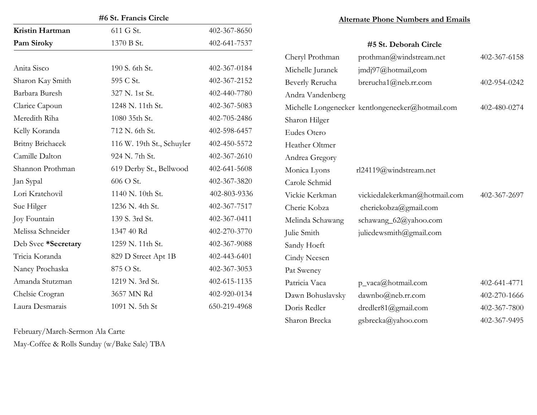| #6 St. Francis Circle   |                           |              | <b>Alternate Phone Numbers and Emails</b> |                                                  |              |
|-------------------------|---------------------------|--------------|-------------------------------------------|--------------------------------------------------|--------------|
| Kristin Hartman         | 611 G St.                 | 402-367-8650 |                                           |                                                  |              |
| Pam Siroky              | 1370 B St.                | 402-641-7537 |                                           | #5 St. Deborah Circle                            |              |
|                         |                           |              | Cheryl Prothman                           | prothman@windstream.net                          | 402-367-6158 |
| Anita Sisco             | 190 S. 6th St.            | 402-367-0184 | Michelle Juranek                          | jmdj97@hotmail,com                               |              |
| Sharon Kay Smith        | 595 C St.                 | 402-367-2152 | Beverly Rerucha                           | brerucha1@neb.rr.com                             | 402-954-0242 |
| Barbara Buresh          | 327 N. 1st St.            | 402-440-7780 | Andra Vandenberg                          |                                                  |              |
| Clarice Capoun          | 1248 N. 11th St.          | 402-367-5083 |                                           | Michelle Longenecker kentlongenecker@hotmail.com | 402-480-0274 |
| Meredith Riha           | 1080 35th St.             | 402-705-2486 | Sharon Hilger                             |                                                  |              |
| Kelly Koranda           | 712 N. 6th St.            | 402-598-6457 | Eudes Otero                               |                                                  |              |
| <b>Britny Brichacek</b> | 116 W. 19th St., Schuyler | 402-450-5572 | Heather Oltmer                            |                                                  |              |
| Camille Dalton          | 924 N. 7th St.            | 402-367-2610 | Andrea Gregory                            |                                                  |              |
| Shannon Prothman        | 619 Derby St., Bellwood   | 402-641-5608 | Monica Lyons                              | rl24119@windstream.net                           |              |
| Jan Sypal               | 606 O St.                 | 402-367-3820 | Carole Schmid                             |                                                  |              |
| Lori Kratchovil         | 1140 N. 10th St.          | 402-803-9336 | Vickie Kerkman                            | vickiedalekerkman@hotmail.com                    | 402-367-2697 |
| Sue Hilger              | 1236 N. 4th St.           | 402-367-7517 | Cherie Kobza                              | cheriekobza@gmail.com                            |              |
| Joy Fountain            | 139 S. 3rd St.            | 402-367-0411 | Melinda Schawang                          | schawang_62@yahoo.com                            |              |
| Melissa Schneider       | 1347 40 Rd                | 402-270-3770 | Julie Smith                               | juliedewsmith@gmail.com                          |              |
| Deb Svec *Secretary     | 1259 N. 11th St.          | 402-367-9088 | Sandy Hoeft                               |                                                  |              |
| Tricia Koranda          | 829 D Street Apt 1B       | 402-443-6401 | Cindy Neesen                              |                                                  |              |
| Nancy Prochaska         | 875 O St.                 | 402-367-3053 | Pat Sweney                                |                                                  |              |
| Amanda Stutzman         | 1219 N. 3rd St.           | 402-615-1135 | Patricia Vaca                             | p_vaca@hotmail.com                               | 402-641-4771 |
| Chelsie Crogran         | 3657 MN Rd                | 402-920-0134 | Dawn Bohuslavsky                          | dawnbo@neb.rr.com                                | 402-270-1666 |
| Laura Desmarais         | 1091 N. 5th St            | 650-219-4968 | Doris Redler                              | dredler $81$ @gmail.com                          | 402-367-7800 |
|                         |                           |              | Sharon Brecka                             | gsbrecka@yahoo.com                               | 402-367-9495 |

February/March-Sermon Ala Carte

May-Coffee & Rolls Sunday (w/Bake Sale) TBA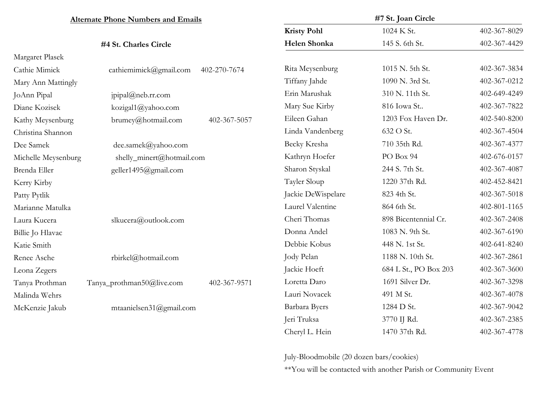| <b>Alternate Phone Numbers and Emails</b> |                                           | #7 St. Joan Circle  |                       |              |
|-------------------------------------------|-------------------------------------------|---------------------|-----------------------|--------------|
|                                           |                                           | <b>Kristy Pohl</b>  | 1024 K St.            | 402-367-8029 |
|                                           | #4 St. Charles Circle                     | <b>Helen Shonka</b> | 145 S. 6th St.        | 402-367-4429 |
| Margaret Plasek                           |                                           |                     |                       |              |
| Cathie Mimick                             | cathiemimick@gmail.com<br>402-270-7674    | Rita Meysenburg     | 1015 N. 5th St.       | 402-367-3834 |
| Mary Ann Mattingly                        |                                           | Tiffany Jahde       | 1090 N. 3rd St.       | 402-367-0212 |
| JoAnn Pipal                               | jpipal@neb.rr.com                         | Erin Marushak       | 310 N. 11th St.       | 402-649-4249 |
| Diane Kozisek                             | kozigal1@yahoo.com                        | Mary Sue Kirby      | 816 Iowa St           | 402-367-7822 |
| Kathy Meysenburg                          | brumey@hotmail.com<br>402-367-5057        | Eileen Gahan        | 1203 Fox Haven Dr.    | 402-540-8200 |
| Christina Shannon                         |                                           | Linda Vandenberg    | 632 O St.             | 402-367-4504 |
| Dee Samek                                 | dee.samek@yahoo.com                       | Becky Kresha        | 710 35th Rd.          | 402-367-4377 |
| Michelle Meysenburg                       | shelly_minert@hotmail.com                 | Kathryn Hoefer      | PO Box 94             | 402-676-0157 |
| Brenda Eller                              | geller1495@gmail.com                      | Sharon Styskal      | 244 S. 7th St.        | 402-367-4087 |
| Kerry Kirby                               |                                           | Tayler Sloup        | 1220 37th Rd.         | 402-452-8421 |
| Patty Pytlik                              |                                           | Jackie DeWispelare  | 823 4th St.           | 402-367-5018 |
| Marianne Matulka                          |                                           | Laurel Valentine    | 864 6th St.           | 402-801-1165 |
| Laura Kucera                              | slkucera@outlook.com                      | Cheri Thomas        | 898 Bicentennial Cr.  | 402-367-2408 |
| Billie Jo Hlavac                          |                                           | Donna Andel         | 1083 N. 9th St.       | 402-367-6190 |
| Katie Smith                               |                                           | Debbie Kobus        | 448 N. 1st St.        | 402-641-8240 |
| Renee Asche                               | rbirkel@hotmail.com                       | Jody Pelan          | 1188 N. 10th St.      | 402-367-2861 |
| Leona Zegers                              |                                           | Jackie Hoeft        | 684 L St., PO Box 203 | 402-367-3600 |
| Tanya Prothman                            | Tanya_prothman50@live.com<br>402-367-9571 | Loretta Daro        | 1691 Silver Dr.       | 402-367-3298 |
| Malinda Wehrs                             |                                           | Lauri Novacek       | 491 M St.             | 402-367-4078 |
| McKenzie Jakub                            | mtaanielsen31@gmail.com                   | Barbara Byers       | 1284 D St.            | 402-367-9042 |
|                                           |                                           | Jeri Truksa         | 3770 IJ Rd.           | 402-367-2385 |

July-Bloodmobile (20 dozen bars/cookies)

\*\*You will be contacted with another Parish or Community Event

Cheryl L. Hein 1470 37th Rd. 402-367-4778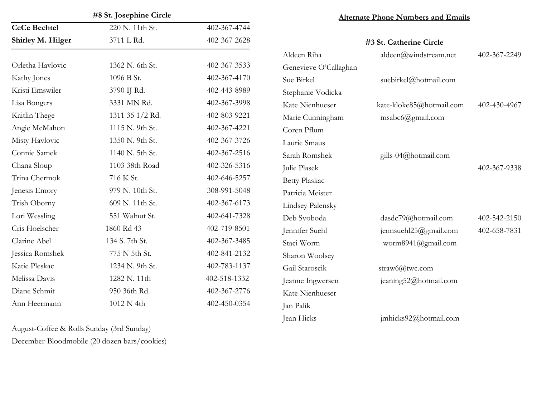| #8 St. Josephine Circle |                 | <b>Alternate Phone Numbers and Emails</b> |                       |                          |              |
|-------------------------|-----------------|-------------------------------------------|-----------------------|--------------------------|--------------|
| <b>CeCe Bechtel</b>     | 220 N. 11th St. | 402-367-4744                              |                       |                          |              |
| Shirley M. Hilger       | 3711 L Rd.      | 402-367-2628                              |                       | #3 St. Catherine Circle  |              |
|                         |                 |                                           | Aldeen Riha           | aldeen@windstream.net    | 402-367-2249 |
| Orletha Havlovic        | 1362 N. 6th St. | 402-367-3533                              | Genevieve O'Callaghan |                          |              |
| Kathy Jones             | 1096 B St.      | 402-367-4170                              | Sue Birkel            | suebirkel@hotmail.com    |              |
| Kristi Emswiler         | 3790 IJ Rd.     | 402-443-8989                              | Stephanie Vodicka     |                          |              |
| Lisa Bongers            | 3331 MN Rd.     | 402-367-3998                              | Kate Nienhueser       | kate-kloke85@hotmail.com | 402-430-4967 |
| Kaitlin Thege           | 1311 35 1/2 Rd. | 402-803-9221                              | Marie Cunningham      | msabc6@gmail.com         |              |
| Angie McMahon           | 1115 N. 9th St. | 402-367-4221                              | Coren Pflum           |                          |              |
| Misty Havlovic          | 1350 N. 9th St. | 402-367-3726                              | Laurie Smaus          |                          |              |
| Connie Samek            | 1140 N. 5th St. | 402-367-2516                              | Sarah Romshek         | gills-04@hotmail.com     |              |
| Chana Sloup             | 1103 38th Road  | 402-326-5316                              | Julie Plasek          |                          | 402-367-9338 |
| Trina Chermok           | 716 K St.       | 402-646-5257                              | <b>Betty Plaskac</b>  |                          |              |
| Jenesis Emory           | 979 N. 10th St. | 308-991-5048                              | Patricia Meister      |                          |              |
| Trish Oborny            | 609 N. 11th St. | 402-367-6173                              | Lindsey Palensky      |                          |              |
| Lori Wessling           | 551 Walnut St.  | 402-641-7328                              | Deb Svoboda           | dasdc79@hotmail.com      | 402-542-2150 |
| Cris Hoelscher          | 1860 Rd 43      | 402-719-8501                              | Jennifer Suehl        | jennsuehl25@gmail.com    | 402-658-7831 |
| Clarine Abel            | 134 S. 7th St.  | 402-367-3485                              | Staci Worm            | worm8941@gmail.com       |              |
| Jessica Romshek         | 775 N 5th St.   | 402-841-2132                              | Sharon Woolsey        |                          |              |
| Katie Pleskac           | 1234 N. 9th St. | 402-783-1137                              | Gail Staroscik        | straw6@twc.com           |              |
| Melissa Davis           | 1282 N. 11th    | 402-518-1332                              | Jeanne Ingwersen      | jeaning52@hotmail.com    |              |
| Diane Schmit            | 950 36th Rd.    | 402-367-2776                              | Kate Nienhueser       |                          |              |
| Ann Heermann            | 1012 N 4th      | 402-450-0354                              | Jan Palik             |                          |              |
|                         |                 |                                           | Jean Hicks            | imhicks92@hotmail.com    |              |

August-Coffee & Rolls Sunday (3rd Sunday) December-Bloodmobile (20 dozen bars/cookies)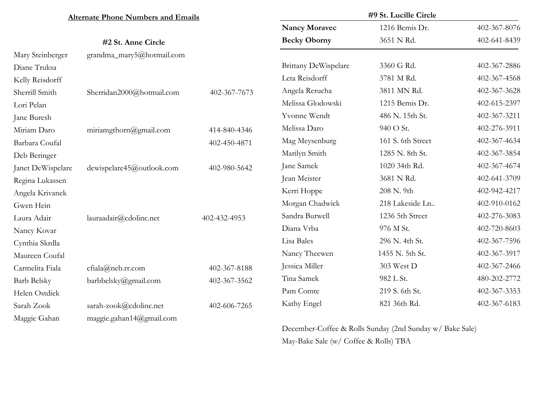| <b>Alternate Phone Numbers and Emails</b> |                               | #9 St. Lucille Circle |                             |                   |              |
|-------------------------------------------|-------------------------------|-----------------------|-----------------------------|-------------------|--------------|
|                                           |                               |                       | <b>Nancy Moravec</b>        | 1216 Bemis Dr.    | 402-367-8076 |
|                                           | #2 St. Anne Circle            |                       | <b>Becky Oborny</b>         | 3651 N Rd.        | 402-641-8439 |
| Mary Steinberger                          | grandma_mary5@hotmail.com     |                       |                             |                   |              |
| Diane Truksa                              |                               |                       | <b>Brittany DeWispelare</b> | 3360 G Rd.        | 402-367-2886 |
| Kelly Reisdorff                           |                               |                       | Leta Reisdorff              | 3781 M Rd.        | 402-367-4568 |
| Sherrill Smith                            | Sherridan2000@hotmail.com     | 402-367-7673          | Angela Rerucha              | 3811 MN Rd.       | 402-367-3628 |
| Lori Pelan                                |                               |                       | Melissa Glodowski           | 1215 Bemis Dr.    | 402-615-2397 |
| Jane Buresh                               |                               |                       | Yvonne Wendt                | 486 N. 15th St.   | 402-367-3211 |
| Miriam Daro                               | $miri$ amgthorn $@g$ mail.com | 414-840-4346          | Melissa Daro                | 940 O St.         | 402-276-3911 |
| Barbara Coufal                            |                               | 402-450-4871          | Mag Meysenburg              | 161 S. 6th Street | 402-367-4634 |
| Deb Beringer                              |                               |                       | Marilyn Smith               | 1285 N. 8th St.   | 402-367-3854 |
| Janet DeWispelare                         | dewispelare45@outlook.com     | 402-980-5642          | Jane Samek                  | 1020 34th Rd.     | 402-367-4674 |
| Regina Lukassen                           |                               |                       | Jean Meister                | 3681 N Rd.        | 402-641-3709 |
| Angela Krivanek                           |                               |                       | Kerri Hoppe                 | 208 N. 9th        | 402-942-4217 |
| Gwen Hein                                 |                               |                       | Morgan Chadwick             | 218 Lakeside Ln   | 402-910-0162 |
| Laura Adair                               | lauraadair@cdolinc.net        | 402-432-4953          | Sandra Burwell              | 1236 5th Street   | 402-276-3083 |
| Nancy Kovar                               |                               |                       | Diana Vrba                  | 976 M St.         | 402-720-8603 |
| Cynthia Skrdla                            |                               |                       | Lisa Bales                  | 296 N. 4th St.    | 402-367-7596 |
| Maureen Coufal                            |                               |                       | Nancy Theewen               | 1455 N. 5th St.   | 402-367-3917 |
| Carmelita Fiala                           | cfiala@neb.rr.com             | 402-367-8188          | Jessica Miller              | 303 West D        | 402-367-2466 |
| <b>Barb Belsky</b>                        | barbbelsky@gmail.com          | 402-367-3562          | Tina Samek                  | 982 L St.         | 480-202-2772 |
| Helen Ostdiek                             |                               |                       | Pam Comte                   | 219 S. 6th St.    | 402-367-3353 |
| Sarah Zook                                | sarah-zook@cdolinc.net        | 402-606-7265          | Kathy Engel                 | 821 36th Rd.      | 402-367-6183 |
| Maggie Gahan                              | maggie.gahan14@gmail.com      |                       |                             |                   |              |

December-Coffee & Rolls Sunday (2nd Sunday w/ Bake Sale) May-Bake Sale (w/ Coffee & Rolls) TBA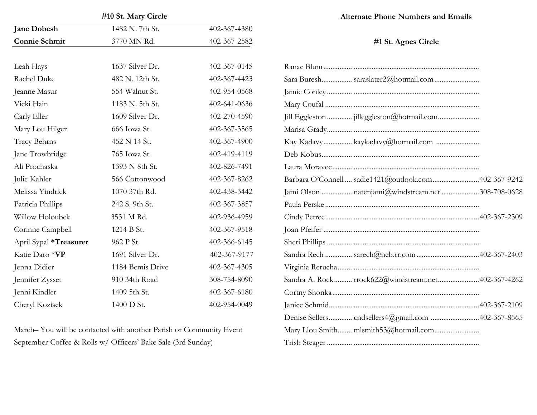| #10 St. Mary Circle    |                  |              |  |  |  |
|------------------------|------------------|--------------|--|--|--|
| <b>Jane Dobesh</b>     | 1482 N. 7th St.  | 402-367-4380 |  |  |  |
| Connie Schmit          | 3770 MN Rd.      | 402-367-2582 |  |  |  |
|                        |                  |              |  |  |  |
| Leah Hays              | 1637 Silver Dr.  | 402-367-0145 |  |  |  |
| Rachel Duke            | 482 N. 12th St.  | 402-367-4423 |  |  |  |
| Jeanne Masur           | 554 Walnut St.   | 402-954-0568 |  |  |  |
| Vicki Hain             | 1183 N. 5th St.  | 402-641-0636 |  |  |  |
| Carly Eller            | 1609 Silver Dr.  | 402-270-4590 |  |  |  |
| Mary Lou Hilger        | 666 Iowa St.     | 402-367-3565 |  |  |  |
| <b>Tracy Behrns</b>    | 452 N 14 St.     | 402-367-4900 |  |  |  |
| Jane Trowbridge        | 765 Iowa St.     | 402-419-4119 |  |  |  |
| Ali Prochaska          | 1393 N 8th St.   | 402-826-7491 |  |  |  |
| Julie Kahler           | 566 Cottonwood   | 402-367-8262 |  |  |  |
| Melissa Yindrick       | 1070 37th Rd.    | 402-438-3442 |  |  |  |
| Patricia Phillips      | 242 S. 9th St.   | 402-367-3857 |  |  |  |
| Willow Holoubek        | 3531 M Rd.       | 402-936-4959 |  |  |  |
| Corinne Campbell       | 1214 B St.       | 402-367-9518 |  |  |  |
| April Sypal *Treasurer | 962 P St.        | 402-366-6145 |  |  |  |
| Katie Daro *VP         | 1691 Silver Dr.  | 402-367-9177 |  |  |  |
| Jenna Didier           | 1184 Bemis Drive | 402-367-4305 |  |  |  |
| Jennifer Zysset        | 910 34th Road    | 308-754-8090 |  |  |  |
| Jenni Kindler          | 1409 5th St.     | 402-367-6180 |  |  |  |
| Cheryl Kozisek         | 1400 D St.       | 402-954-0049 |  |  |  |

March– You will be contacted with another Parish or Community Event September-Coffee & Rolls w/ Officers' Bake Sale (3rd Sunday)

### **Alternate Phone Numbers and Emails**

# **#1 St. Agnes Circle**

| Sara Buresh saraslater2@hotmail.com                   |
|-------------------------------------------------------|
|                                                       |
|                                                       |
| Jill Eggleston  jilleggleston@hotmail.com             |
|                                                       |
| Kay Kadavy kaykadavy@hotmail.com                      |
|                                                       |
|                                                       |
| Barbara O'Connell  sadie1421@outlook.com 402-367-9242 |
| Jami Olson  natenjami@windstream.net 308-708-0628     |
|                                                       |
|                                                       |
|                                                       |
|                                                       |
|                                                       |
|                                                       |
| Sandra A. Rock rrock622@windstream.net402-367-4262    |
|                                                       |
|                                                       |
| Denise Sellers cndsellers4@gmail.com 402-367-8565     |
|                                                       |
|                                                       |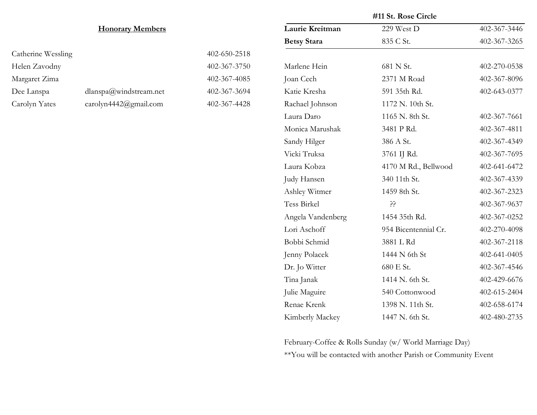# **Honorary Members**

|                            | 402-650-2518 |
|----------------------------|--------------|
|                            | 402-367-3750 |
|                            | 402-367-4085 |
| dlanspa $@$ windstream.net | 402-367-3694 |
| carolyn4442@gmail.com      | 402-367-4428 |
|                            |              |

| #11 St. Rose Circle |                      |              |  |  |
|---------------------|----------------------|--------------|--|--|
| Laurie Kreitman     | 229 West D           | 402-367-3446 |  |  |
| <b>Betsy Stara</b>  | 835 C St.            | 402-367-3265 |  |  |
|                     |                      |              |  |  |
| Marlene Hein        | 681 N St.            | 402-270-0538 |  |  |
| Joan Cech           | 2371 M Road          | 402-367-8096 |  |  |
| Katie Kresha        | 591 35th Rd.         | 402-643-0377 |  |  |
| Rachael Johnson     | 1172 N. 10th St.     |              |  |  |
| Laura Daro          | 1165 N. 8th St.      | 402-367-7661 |  |  |
| Monica Marushak     | 3481 P Rd.           | 402-367-4811 |  |  |
| Sandy Hilger        | 386 A St.            | 402-367-4349 |  |  |
| Vicki Truksa        | 3761 IJ Rd.          | 402-367-7695 |  |  |
| Laura Kobza         | 4170 M Rd., Bellwood | 402-641-6472 |  |  |
| Judy Hansen         | 340 11th St.         | 402-367-4339 |  |  |
| Ashley Witmer       | 1459 8th St.         | 402-367-2323 |  |  |
| Tess Birkel         | ςç.                  | 402-367-9637 |  |  |
| Angela Vandenberg   | 1454 35th Rd.        | 402-367-0252 |  |  |
| Lori Aschoff        | 954 Bicentennial Cr. | 402-270-4098 |  |  |
| Bobbi Schmid        | 3881 L Rd            | 402-367-2118 |  |  |
| Jenny Polacek       | 1444 N 6th St        | 402-641-0405 |  |  |
| Dr. Jo Witter       | 680 E St.            | 402-367-4546 |  |  |
| Tina Janak          | 1414 N. 6th St.      | 402-429-6676 |  |  |
| Julie Maguire       | 540 Cottonwood       | 402-615-2404 |  |  |
| Renae Krenk         | 1398 N. 11th St.     | 402-658-6174 |  |  |
| Kimberly Mackey     | 1447 N. 6th St.      | 402-480-2735 |  |  |

February-Coffee & Rolls Sunday (w/ World Marriage Day) \*\*You will be contacted with another Parish or Community Event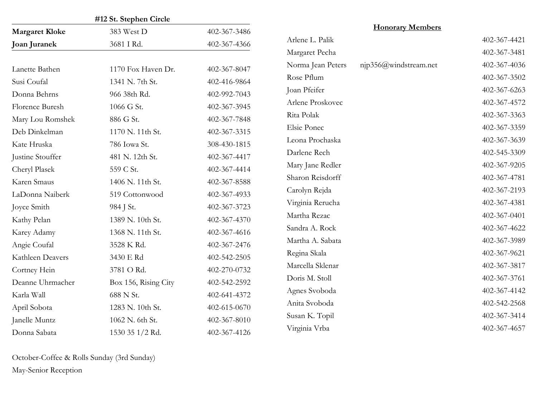| #12 St. Stephen Circle |                      |              |                                            |              |
|------------------------|----------------------|--------------|--------------------------------------------|--------------|
| <b>Margaret Kloke</b>  | 383 West D           | 402-367-3486 | <b>Honorary Members</b>                    |              |
| Joan Juranek           | 3681 I Rd.           | 402-367-4366 | Arlene L. Palik                            | 402-367-4421 |
|                        |                      |              | Margaret Pecha                             | 402-367-3481 |
| Lanette Bathen         | 1170 Fox Haven Dr.   | 402-367-8047 | Norma Jean Peters<br>njp356@windstream.net | 402-367-4036 |
| Susi Coufal            | 1341 N. 7th St.      | 402-416-9864 | Rose Pflum                                 | 402-367-3502 |
| Donna Behrns           | 966 38th Rd.         | 402-992-7043 | Joan Pfeifer                               | 402-367-6263 |
| Florence Buresh        | 1066 G St.           | 402-367-3945 | Arlene Proskovec                           | 402-367-4572 |
| Mary Lou Romshek       | 886 G St.            | 402-367-7848 | Rita Polak                                 | 402-367-3363 |
| Deb Dinkelman          | 1170 N. 11th St.     | 402-367-3315 | Elsie Ponec                                | 402-367-3359 |
| Kate Hruska            | 786 Iowa St.         | 308-430-1815 | Leona Prochaska                            | 402-367-3639 |
| Justine Stouffer       | 481 N. 12th St.      | 402-367-4417 | Darlene Rech                               | 402-545-3309 |
| Cheryl Plasek          | 559 C St.            | 402-367-4414 | Mary Jane Redler                           | 402-367-9205 |
| Karen Smaus            | 1406 N. 11th St.     | 402-367-8588 | Sharon Reisdorff                           | 402-367-4781 |
| LaDonna Naiberk        | 519 Cottonwood       | 402-367-4933 | Carolyn Rejda                              | 402-367-2193 |
| Joyce Smith            | 984 J St.            | 402-367-3723 | Virginia Rerucha                           | 402-367-4381 |
| Kathy Pelan            | 1389 N. 10th St.     | 402-367-4370 | Martha Rezac                               | 402-367-0401 |
| Karey Adamy            | 1368 N. 11th St.     | 402-367-4616 | Sandra A. Rock                             | 402-367-4622 |
| Angie Coufal           | 3528 K Rd.           | 402-367-2476 | Martha A. Sabata                           | 402-367-3989 |
| Kathleen Deavers       | 3430 E Rd            | 402-542-2505 | Regina Skala                               | 402-367-9621 |
| Cortney Hein           | 3781 O Rd.           | 402-270-0732 | Marcella Sklenar                           | 402-367-3817 |
| Deanne Uhrmacher       | Box 156, Rising City | 402-542-2592 | Doris M. Stoll                             | 402-367-3761 |
| Karla Wall             | 688 N St.            | 402-641-4372 | Agnes Svoboda                              | 402-367-4142 |
| April Sobota           | 1283 N. 10th St.     | 402-615-0670 | Anita Svoboda                              | 402-542-2568 |
| Janelle Muntz          | 1062 N. 6th St.      | 402-367-8010 | Susan K. Topil                             | 402-367-3414 |
| Donna Sabata           | 1530 35 1/2 Rd.      | 402-367-4126 | Virginia Vrba                              | 402-367-4657 |

October -Coffee & Rolls Sunday (3rd Sunday) May -Senior Reception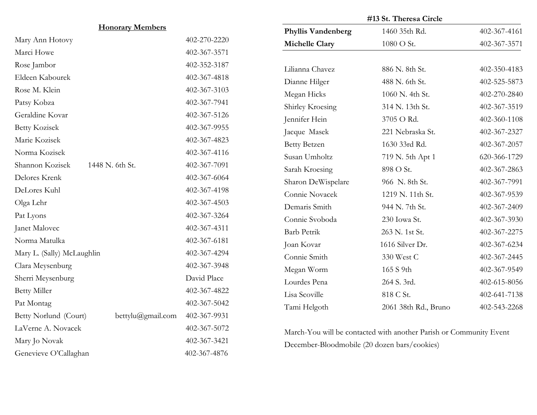|                                            |              |                                              | #13 St. Theresa Circle                                             |              |  |
|--------------------------------------------|--------------|----------------------------------------------|--------------------------------------------------------------------|--------------|--|
| <b>Honorary Members</b>                    |              | <b>Phyllis Vandenberg</b>                    | 1460 35th Rd.                                                      | 402-367-4161 |  |
| Mary Ann Hotovy                            | 402-270-2220 | <b>Michelle Clary</b>                        | 1080 O St.                                                         | 402-367-3571 |  |
| Marci Howe                                 | 402-367-3571 |                                              |                                                                    |              |  |
| Rose Jambor                                | 402-352-3187 | Lilianna Chavez                              | 886 N. 8th St.                                                     | 402-350-4183 |  |
| Eldeen Kabourek                            | 402-367-4818 | Dianne Hilger                                | 488 N. 6th St.                                                     | 402-525-5873 |  |
| Rose M. Klein                              | 402-367-3103 | Megan Hicks                                  | 1060 N. 4th St.                                                    | 402-270-2840 |  |
| Patsy Kobza                                | 402-367-7941 | Shirley Kroesing                             | 314 N. 13th St.                                                    | 402-367-3519 |  |
| Geraldine Kovar                            | 402-367-5126 | Jennifer Hein                                | 3705 O Rd.                                                         | 402-360-1108 |  |
| <b>Betty Kozisek</b>                       | 402-367-9955 | Jacque Masek                                 | 221 Nebraska St.                                                   | 402-367-2327 |  |
| Marie Kozisek                              | 402-367-4823 | <b>Betty Betzen</b>                          | 1630 33rd Rd.                                                      | 402-367-2057 |  |
| Norma Kozisek                              | 402-367-4116 | Susan Umholtz                                | 719 N. 5th Apt 1                                                   | 620-366-1729 |  |
| Shannon Kozisek<br>1448 N. 6th St.         | 402-367-7091 | Sarah Kroesing                               | 898 O St.                                                          | 402-367-2863 |  |
| Delores Krenk                              | 402-367-6064 | Sharon DeWispelare                           | 966 N. 8th St.                                                     | 402-367-7991 |  |
| DeLores Kuhl                               | 402-367-4198 | Connie Novacek                               | 1219 N. 11th St.                                                   | 402-367-9539 |  |
| Olga Lehr                                  | 402-367-4503 | Demaris Smith                                | 944 N. 7th St.                                                     | 402-367-2409 |  |
| Pat Lyons                                  | 402-367-3264 | Connie Svoboda                               | 230 Iowa St.                                                       | 402-367-3930 |  |
| Janet Malovec                              | 402-367-4311 | <b>Barb Petrik</b>                           | 263 N. 1st St.                                                     | 402-367-2275 |  |
| Norma Matulka                              | 402-367-6181 | Joan Kovar                                   | 1616 Silver Dr.                                                    | 402-367-6234 |  |
| Mary L. (Sally) McLaughlin                 | 402-367-4294 | Connie Smith                                 | 330 West C                                                         | 402-367-2445 |  |
| Clara Meysenburg                           | 402-367-3948 | Megan Worm                                   | 165 S 9th                                                          | 402-367-9549 |  |
| Sherri Meysenburg                          | David Place  | Lourdes Pena                                 | 264 S. 3rd.                                                        | 402-615-8056 |  |
| <b>Betty Miller</b>                        | 402-367-4822 | Lisa Scoville                                | 818 C St.                                                          | 402-641-7138 |  |
| Pat Montag                                 | 402-367-5042 | Tami Helgoth                                 | 2061 38th Rd., Bruno                                               | 402-543-2268 |  |
| Betty Norlund (Court)<br>bettylu@gmail.com | 402-367-9931 |                                              |                                                                    |              |  |
| LaVerne A. Novacek                         | 402-367-5072 |                                              | March-You will be contacted with another Parish or Community Event |              |  |
| Mary Jo Novak                              | 402-367-3421 | December-Bloodmobile (20 dozen bars/cookies) |                                                                    |              |  |
| Genevieve O'Callaghan                      | 402-367-4876 |                                              |                                                                    |              |  |